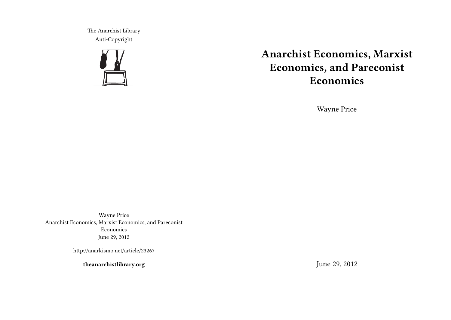The Anarchist Library Anti-Copyright



# **Anarchist Economics, Marxist Economics, and Pareconist Economics**

Wayne Price

Wayne Price Anarchist Economics, Marxist Economics, and Pareconist Economics June 29, 2012

http://anarkismo.net/article/23267

**theanarchistlibrary.org**

June 29, 2012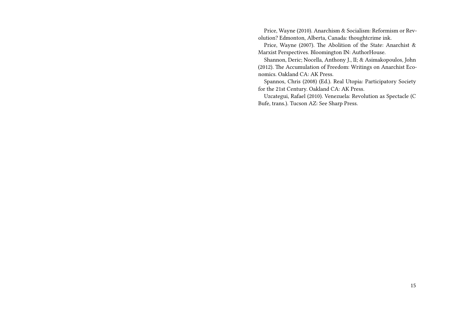Price, Wayne (2010). Anarchism & Socialism: Reformism or Revolution? Edmonton, Alberta, Canada: thoughtcrime ink.

Price, Wayne (2007). The Abolition of the State: Anarchist & Marxist Perspectives. Bloomington IN: AuthorHouse.

Shannon, Deric; Nocella, Anthony J., II; & Asimakopoulos, John (2012). The Accumulation of Freedom: Writings on Anarchist Economics. Oakland CA: AK Press.

Spannos, Chris (2008) (Ed.). Real Utopia: Participatory Society for the 21st Century. Oakland CA: AK Press.

Uzcategui, Rafael (2010). Venezuela: Revolution as Spectacle (C Bufe, trans.). Tucson AZ: See Sharp Press.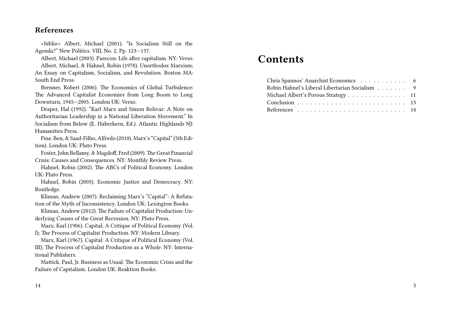# **References**

<biblio> Albert, Michael (2001). "Is Socialism Still on the Agenda?" New Politics. VIII, No. 2. Pp. 123—137.

Albert, Michael (2003). Parecon: Life after capitalism. NY: Verso. Albert, Michael, & Hahnel, Robin (1978). Unorthodox Marxism; An Essay on Capitalism, Socialism, and Revolution. Boston MA: South End Press.

Brenner, Robert (2006). The Economics of Global Turbulence: The Advanced Capitalist Economies from Long Boom to Long Downturn, 1945—2005. London UK: Verso.

Draper, Hal (1992). "Karl Marx and Simon Bolivar: A Note on Authoritarian Leadership in a National Liberation Movement." In Socialism from Below (E. Haberkern, Ed.). Atlantic Highlands NJ: Humanities Press.

Fine, Ben, & Saad-Filho, Alfredo (2010). Marx's "Capital" (5th Edition). London UK: Pluto Press.

Foster, John Bellamy, & Magdoff, Fred (2009). The Great Financial Crisis: Causes and Consequences. NY: Monthly Review Press.

Hahnel, Robin (2002). The ABCs of Political Economy. London UK: Pluto Press.

Hahnel, Robin (2005). Economic Justice and Democracy. NY: Routledge.

Kliman, Andrew (2007). Reclaiming Marx's "Capital": A Refutation of the Myth of Inconsistency. London UK: Lexington Books.

Kliman, Andrew (2012). The Failure of Capitalist Production: Underlying Causes of the Great Recession. NY: Pluto Press.

Marx, Karl (1906). Capital; A Critique of Political Economy (Vol. I); The Process of Capitalist Production. NY: Modern Library.

Marx, Karl (1967). Capital: A Critique of Political Economy (Vol. III); The Process of Capitalist Production as a Whole. NY: International Publishers.

Mattick, Paul, Jr. Business as Usual: The Economic Crisis and the Failure of Capitalism. London UK: Reaktion Books.

# **Contents**

| Chris Spannos' Anarchist Economics 6           |  |
|------------------------------------------------|--|
| Robin Hahnel's Liberal Libertarian Socialism 9 |  |
| Michael Albert's Porous Strategy 11            |  |
|                                                |  |
|                                                |  |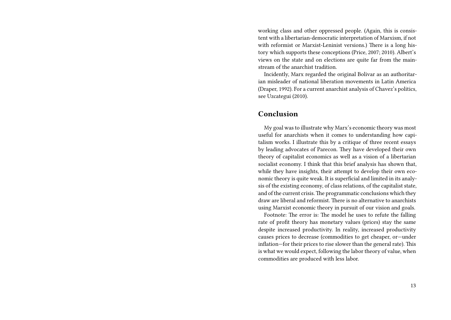working class and other oppressed people. (Again, this is consistent with a libertarian-democratic interpretation of Marxism, if not with reformist or Marxist-Leninist versions.) There is a long history which supports these conceptions (Price, 2007; 2010). Albert's views on the state and on elections are quite far from the mainstream of the anarchist tradition.

Incidently, Marx regarded the original Bolivar as an authoritarian misleader of national liberation movements in Latin America (Draper, 1992). For a current anarchist analysis of Chavez's politics, see Uzcategui (2010).

#### **Conclusion**

My goal was to illustrate why Marx's economic theory was most useful for anarchists when it comes to understanding how capitalism works. I illustrate this by a critique of three recent essays by leading advocates of Parecon. They have developed their own theory of capitalist economics as well as a vision of a libertarian socialist economy. I think that this brief analysis has shown that, while they have insights, their attempt to develop their own economic theory is quite weak. It is superficial and limited in its analysis of the existing economy, of class relations, of the capitalist state, and of the current crisis. The programmatic conclusions which they draw are liberal and reformist. There is no alternative to anarchists using Marxist economic theory in pursuit of our vision and goals.

Footnote: The error is: The model he uses to refute the falling rate of profit theory has monetary values (prices) stay the same despite increased productivity. In reality, increased productivity causes prices to decrease (commodities to get cheaper, or—under inflation—for their prices to rise slower than the general rate). This is what we would expect, following the labor theory of value, when commodities are produced with less labor.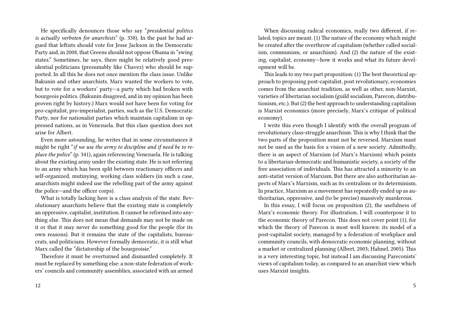He specifically denounces those who say "*presidential politics is actually verboten for anarchists*" (p. 338). In the past he had argued that leftists should vote for Jesse Jackson in the Democratic Party and, in 2008, that Greens should not oppose Obama in "swing states." Sometimes, he says, there might be relatively good presidential politicians (presumably like Chavez) who should be supported. In all this he does not once mention the class issue. Unlike Bakunin and other anarchists, Marx wanted the workers to vote, but to vote for a workers' party—a party which had broken with bourgeois politics. (Bakunin disagreed, and in my opinion has been proven right by history.) Marx would not have been for voting for pro-capitalist, pro-imperialist, parties, such as the U.S. Democratic Party, nor for nationalist parties which maintain capitalism in oppressed nations, as in Venezuela. But this class question does not arise for Albert.

Even more astounding, he writes that in some circumstances it might be right "*if we use the army to discipline and if need be to replace the police*" (p. 341), again referencing Venezuela. He is talking about the existing army under the existing state. He is not referring to an army which has been split between reactionary officers and self-organized, mutinying, working class soldiers (in such a case, anarchists might indeed use the rebelling part of the army against the police—and the officer corps).

What is totally lacking here is a class analysis of the state. Revolutionary anarchists believe that the existing state is completely an oppressive, capitalist, institution. It cannot be reformed into anything else. This does not mean that demands may not be made on it or that it may never do something good for the people (for its own reasons). But it remains the state of the capitalists, bureaucrats, and politicians. However formally democratic, it is still what Marx called the "dictatorship of the bourgeoisie."

Therefore it must be overturned and dismantled completely. It must be replaced by something else: a non-state federation of workers' councils and community assemblies, associated with an armed

When discussing radical economics, really two different, if related, topics are meant. (1) The nature of the economy which might be created after the overthrow of capitalism (whether called socialism, communism, or anarchism). And (2) the nature of the existing, capitalist, economy—how it works and what its future development will be.

This leads to my two part proposition: (1) The best theoretical approach to proposing post-capitalist, post revolutionary, economies comes from the anarchist tradition, as well as other, non-Marxist, varieties of libertarian socialism (guild socialism, Parecon, distributionism, etc.). But (2) the best approach to understanding capitalism is Marxist economics (more precisely, Marx's critique of political economy).

I write this even though I identify with the overall program of revolutionary class-struggle anarchism. This is why I think that the two parts of the proposition must not be reversed. Marxism must not be used as the basis for a vision of a new society. Admittedly, there is an aspect of Marxism (of Marx's Marxism) which points to a libertarian-democratic and humanistic society, a society of the free association of individuals. This has attracted a minority to an anti-statist version of Marxism. But there are also authoritarian aspects of Marx's Marxism, such as its centralism or its determinism. In practice, Marxism as a movement has repeatedly ended up as authoritarian, oppressive, and (to be precise) massively murderous.

In this essay, I will focus on proposition (2), the usefulness of Marx's economic theory. For illustration, I will counterpose it to the economic theory of Parecon. This does not cover point (1), for which the theory of Parecon is most well known: its model of a post-capitalist society, managed by a federation of workplace and community councils, with democratic economic planning, without a market or centralized planning (Albert, 2003; Hahnel, 2005). This is a very interesting topic, but instead I am discussing Pareconists' views of capitalism today, as compared to an anarchist view which uses Marxist insights.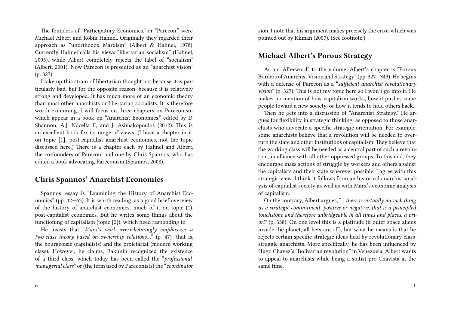The founders of "Participatory Economics," or "Parecon," were Michael Albert and Robin Hahnel. Originally they regarded their approach as "unorthodox Marxism" (Albert & Hahnel, 1978). Currently Hahnel calls his views "libertarian socialism" (Hahnel, 2005), while Albert completely rejects the label of "socialism" (Albert, 2001). Now Parecon is presented as an "anarchist vision" (p. 327).

I take up this strain of libertarian thought not because it is particularly bad, but for the opposite reason: because it is relatively strong and developed. It has much more of an economic theory than most other anarchists or libertarian socialists. It is therefore worth examining. I will focus on three chapters on Pareconism which appear in a book on "Anarchist Economics," edited by D. Shannon, A.J. Nocella II, and J. Asimakopoulos (2012). This is an excellent book for its range of views. (I have a chapter in it, on topic [1], post-capitalist anarchist economies, not the topic discussed here.) There is a chapter each by Hahnel and Albert, the co-founders of Parecon, and one by Chris Spannos, who has edited a book advocating Pareconism (Spannos, 2008).

### **Chris Spannos' Anarchist Economics**

Spannos' essay is "Examining the History of Anarchist Economics" (pp. 42—63). It is worth reading, as a good brief overview of the history of anarchist economics, much of it on topic (1), post-capitalist economies. But he writes some things about the functioning of capitalism (topic [2]), which need responding to.

He insists that "*Marx's work overwhelmingly emphasizes a two-class theory based on ownership relations…*" (p. 47)—that is, the bourgeoisie (capitalists) and the proletariat (modern working class). However, he claims, Bakunin recognized the existence of a third class, which today has been called the "*professionalmanagerial class*" or (the term used by Pareconists) the "*coordinator*

6

sion, I note that his argument makes precisely the error which was pointed out by Kliman (2007). (See footnote,)

# **Michael Albert's Porous Strategy**

As an "Afterword" to the volume, Albert's chapter is "Porous Borders of Anarchist Vision and Strategy" (pp. 327—343). He begins with a defense of Parecon as a "*sufficient anarchist revolutionary vision*" (p. 327). This is not my topic here so I won't go into it. He makes no mention of how capitalism works, how it pushes some people toward a new society, or how it tends to hold others back.

Then he gets into a discussion of "Anarchist Strategy." He argues for flexibility in strategic thinking, as opposed to those anarchists who advocate a specific strategic orientation. For example, some anarchists believe that a revolution will be needed to overturn the state and other institutions of capitalism. They believe that the working class will be needed as a central part of such a revolution, in alliance with all other oppressed groups. To this end, they encourage mass actions of struggle by workers and others against the capitalists and their state wherever possible. I agree with this strategic view. I think it follows from an historical anarchist analysis of capitalist society as well as with Marx's economic analysis of capitalism.

On the contrary, Albert argues, "*…there is virtually no such thing as a strategic commitment, positive or negative, that is a principled touchstone and therefore unbridgeable in all times and places, a priori*" (p. 338). On one level this is a platitude (if outer space aliens invade the planet, all bets are off), but what he means is that he rejects certain specific strategic ideas held by revolutionary classstruggle anarchists. More specifically, he has been influenced by Hugo Chavez's "Bolivarian revolution" in Venezuela. Albert wants to appeal to anarchists while being a statist pro-Chavista at the same time.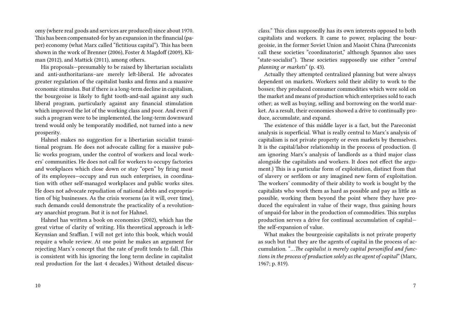omy (where real goods and services are produced) since about 1970. This has been compensated-for by an expansion in the financial (paper) economy (what Marx called "fictitious capital"). This has been shown in the work of Brenner (2006), Foster & Magdoff (2009), Kliman (2012), and Mattick (2011), among others.

His proposals—presumably to be raised by libertarian socialists and anti-authoritarians–are merely left-liberal. He advocates greater regulation of the capitalist banks and firms and a massive economic stimulus. But if there is a long-term decline in capitalism, the bourgeoise is likely to fight tooth-and-nail against any such liberal program, particularly against any financial stimulation which improved the lot of the working class and poor. And even if such a program were to be implemented, the long-term downward trend would only be temporatily modified, not turned into a new prosperity.

Hahnel makes no suggestion for a libertarian socialist transitional program. He does not advocate calling for a massive public works program, under the control of workers and local workers' communities. He does not call for workers to occupy factories and workplaces which close down or stay "open" by firing most of its employees—occupy and run such enterprises, in coordination with other self-managed workplaces and public works sites. He does not advocate repudiation of national debts and expropriation of big businesses. As the crisis worsens (as it will, over time), such demands could demonstrate the practicality of a revolutionary anarchist program. But it is not for Hahnel.

Hahnel has written a book on economics (2002), which has the great virtue of clarity of writing. His theoretical approach is left-Keynsian and Sraffian. I will not get into this book, which would require a whole review. At one point he makes an argument for rejecting Marx's concept that the rate of profit tends to fall. (This is consistent with his ignoring the long term decline in capitalist real production for the last 4 decades.) Without detailed discus-

10

*class.*" This class supposedly has its own interests opposed to both capitalists and workers. It came to power, replacing the bourgeoisie, in the former Soviet Union and Maoist China (Pareconists call these societies "coordinatorist," although Spannos also uses "state-socialist"). These societies supposedly use either "*central planning or markets*" (p. 43).

Actually they attempted centralized planning but were always dependent on markets. Workers sold their ability to work to the bosses; they produced consumer commodities which were sold on the market and means of production which enterprises sold to each other; as well as buying, selling and borrowing on the world market. As a result, their economies showed a drive to continually produce, accumulate, and expand.

The existence of this middle layer is a fact, but the Pareconist analysis is superficial. What is really central to Marx's analysis of capitalism is not private property or even markets by themselves. It is the capital/labor relationship in the process of production. (I am ignoring Marx's analysis of landlords as a third major class alongside the capitalists and workers. It does not effect the argument.) This is a particular form of exploitation, distinct from that of slavery or serfdom or any imagined new form of exploitation. The workers' commodity of their ability to work is bought by the capitalists who work them as hard as possible and pay as little as possible, working them beyond the point where they have produced the equivalent in value of their wage, thus gaining hours of unpaid-for labor in the production of commodities. This surplus production serves a drive for continual accumulation of capital the self-expansion of value.

What makes the bourgeoisie capitalists is not private property as such but that they are the agents of capital in the process of accumulation. "*…The capitalist is merely capital personified and functions in the process of production solely as the agent of capital*" (Marx, 1967; p. 819).